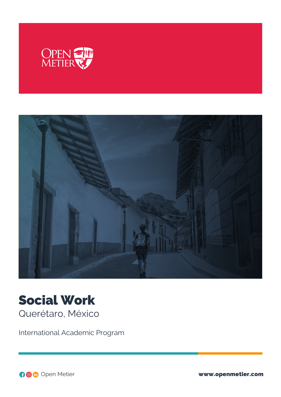



# Social Work Querétaro, México

International Academic Program

Open Metier www.openmetier.com